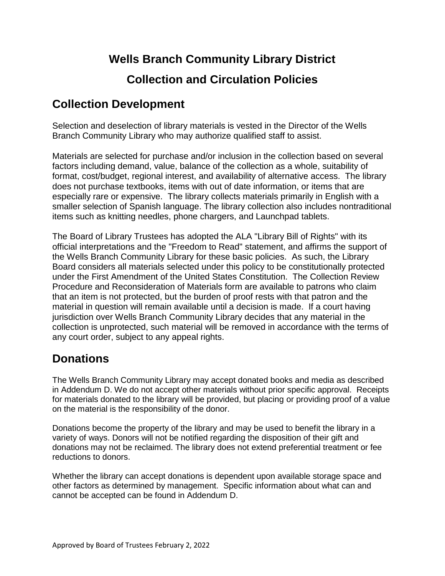# **Wells Branch Community Library District Collection and Circulation Policies**

## **Collection Development**

Selection and deselection of library materials is vested in the Director of the Wells Branch Community Library who may authorize qualified staff to assist.

Materials are selected for purchase and/or inclusion in the collection based on several factors including demand, value, balance of the collection as a whole, suitability of format, cost/budget, regional interest, and availability of alternative access. The library does not purchase textbooks, items with out of date information, or items that are especially rare or expensive. The library collects materials primarily in English with a smaller selection of Spanish language. The library collection also includes nontraditional items such as knitting needles, phone chargers, and Launchpad tablets.

The Board of Library Trustees has adopted the ALA "Library Bill of Rights" with its official interpretations and the "Freedom to Read" statement, and affirms the support of the Wells Branch Community Library for these basic policies. As such, the Library Board considers all materials selected under this policy to be constitutionally protected under the First Amendment of the United States Constitution. The Collection Review Procedure and Reconsideration of Materials form are available to patrons who claim that an item is not protected, but the burden of proof rests with that patron and the material in question will remain available until a decision is made. If a court having jurisdiction over Wells Branch Community Library decides that any material in the collection is unprotected, such material will be removed in accordance with the terms of any court order, subject to any appeal rights.

## **Donations**

The Wells Branch Community Library may accept donated books and media as described in Addendum D. We do not accept other materials without prior specific approval. Receipts for materials donated to the library will be provided, but placing or providing proof of a value on the material is the responsibility of the donor.

Donations become the property of the library and may be used to benefit the library in a variety of ways. Donors will not be notified regarding the disposition of their gift and donations may not be reclaimed. The library does not extend preferential treatment or fee reductions to donors.

Whether the library can accept donations is dependent upon available storage space and other factors as determined by management. Specific information about what can and cannot be accepted can be found in Addendum D.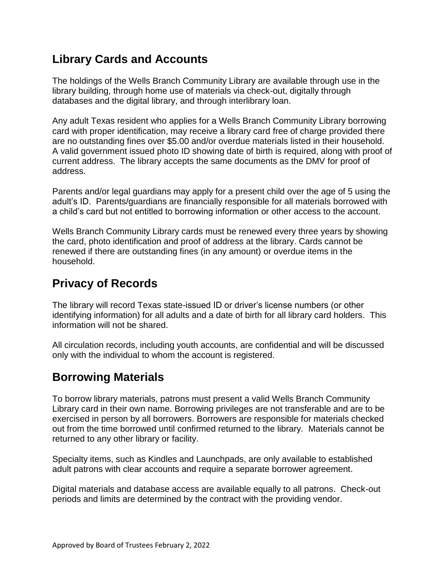## **Library Cards and Accounts**

The holdings of the Wells Branch Community Library are available through use in the library building, through home use of materials via check-out, digitally through databases and the digital library, and through interlibrary loan.

Any adult Texas resident who applies for a Wells Branch Community Library borrowing card with proper identification, may receive a library card free of charge provided there are no outstanding fines over \$5.00 and/or overdue materials listed in their household. A valid government issued photo ID showing date of birth is required, along with proof of current address. The library accepts the same documents as the DMV for proof of address.

Parents and/or legal guardians may apply for a present child over the age of 5 using the adult's ID. Parents/guardians are financially responsible for all materials borrowed with a child's card but not entitled to borrowing information or other access to the account.

Wells Branch Community Library cards must be renewed every three years by showing the card, photo identification and proof of address at the library. Cards cannot be renewed if there are outstanding fines (in any amount) or overdue items in the household.

## **Privacy of Records**

The library will record Texas state-issued ID or driver's license numbers (or other identifying information) for all adults and a date of birth for all library card holders. This information will not be shared.

All circulation records, including youth accounts, are confidential and will be discussed only with the individual to whom the account is registered.

## **Borrowing Materials**

To borrow library materials, patrons must present a valid Wells Branch Community Library card in their own name. Borrowing privileges are not transferable and are to be exercised in person by all borrowers. Borrowers are responsible for materials checked out from the time borrowed until confirmed returned to the library. Materials cannot be returned to any other library or facility.

Specialty items, such as Kindles and Launchpads, are only available to established adult patrons with clear accounts and require a separate borrower agreement.

Digital materials and database access are available equally to all patrons. Check-out periods and limits are determined by the contract with the providing vendor.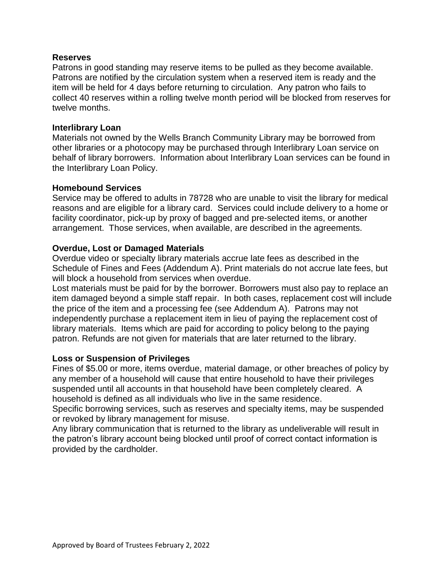#### **Reserves**

Patrons in good standing may reserve items to be pulled as they become available. Patrons are notified by the circulation system when a reserved item is ready and the item will be held for 4 days before returning to circulation. Any patron who fails to collect 40 reserves within a rolling twelve month period will be blocked from reserves for twelve months.

#### **Interlibrary Loan**

Materials not owned by the Wells Branch Community Library may be borrowed from other libraries or a photocopy may be purchased through Interlibrary Loan service on behalf of library borrowers. Information about Interlibrary Loan services can be found in the Interlibrary Loan Policy.

#### **Homebound Services**

Service may be offered to adults in 78728 who are unable to visit the library for medical reasons and are eligible for a library card. Services could include delivery to a home or facility coordinator, pick-up by proxy of bagged and pre-selected items, or another arrangement. Those services, when available, are described in the agreements.

#### **Overdue, Lost or Damaged Materials**

Overdue video or specialty library materials accrue late fees as described in the Schedule of Fines and Fees (Addendum A). Print materials do not accrue late fees, but will block a household from services when overdue.

Lost materials must be paid for by the borrower. Borrowers must also pay to replace an item damaged beyond a simple staff repair. In both cases, replacement cost will include the price of the item and a processing fee (see Addendum A). Patrons may not independently purchase a replacement item in lieu of paying the replacement cost of library materials. Items which are paid for according to policy belong to the paying patron. Refunds are not given for materials that are later returned to the library.

#### **Loss or Suspension of Privileges**

Fines of \$5.00 or more, items overdue, material damage, or other breaches of policy by any member of a household will cause that entire household to have their privileges suspended until all accounts in that household have been completely cleared. A household is defined as all individuals who live in the same residence.

Specific borrowing services, such as reserves and specialty items, may be suspended or revoked by library management for misuse.

Any library communication that is returned to the library as undeliverable will result in the patron's library account being blocked until proof of correct contact information is provided by the cardholder.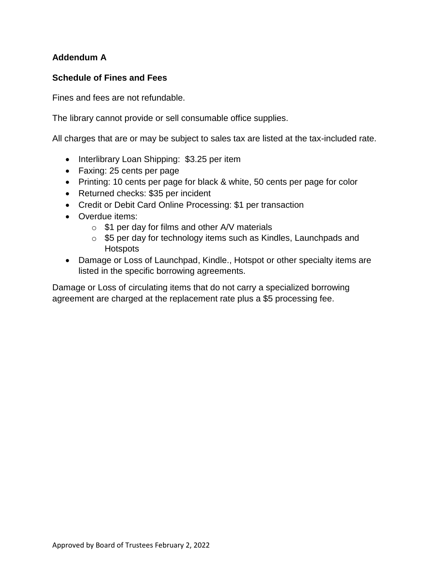## **Addendum A**

### **Schedule of Fines and Fees**

Fines and fees are not refundable.

The library cannot provide or sell consumable office supplies.

All charges that are or may be subject to sales tax are listed at the tax-included rate.

- Interlibrary Loan Shipping: \$3.25 per item
- Faxing: 25 cents per page
- Printing: 10 cents per page for black & white, 50 cents per page for color
- Returned checks: \$35 per incident
- Credit or Debit Card Online Processing: \$1 per transaction
- Overdue items:
	- $\circ$  \$1 per day for films and other A/V materials
	- o \$5 per day for technology items such as Kindles, Launchpads and **Hotspots**
- Damage or Loss of Launchpad, Kindle., Hotspot or other specialty items are listed in the specific borrowing agreements.

Damage or Loss of circulating items that do not carry a specialized borrowing agreement are charged at the replacement rate plus a \$5 processing fee.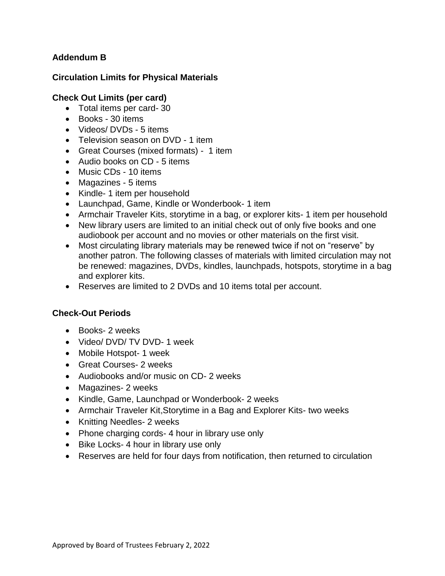### **Addendum B**

### **Circulation Limits for Physical Materials**

#### **Check Out Limits (per card)**

- Total items per card- 30
- Books 30 items
- Videos/ DVDs 5 items
- Television season on DVD 1 item
- Great Courses (mixed formats) 1 item
- Audio books on CD 5 items
- Music CDs 10 items
- Magazines 5 items
- Kindle- 1 item per household
- Launchpad, Game, Kindle or Wonderbook- 1 item
- Armchair Traveler Kits, storytime in a bag, or explorer kits- 1 item per household
- New library users are limited to an initial check out of only five books and one audiobook per account and no movies or other materials on the first visit.
- Most circulating library materials may be renewed twice if not on "reserve" by another patron. The following classes of materials with limited circulation may not be renewed: magazines, DVDs, kindles, launchpads, hotspots, storytime in a bag and explorer kits.
- Reserves are limited to 2 DVDs and 10 items total per account.

## **Check-Out Periods**

- Books- 2 weeks
- Video/ DVD/ TV DVD- 1 week
- Mobile Hotspot- 1 week
- Great Courses- 2 weeks
- Audiobooks and/or music on CD- 2 weeks
- Magazines- 2 weeks
- Kindle, Game, Launchpad or Wonderbook- 2 weeks
- Armchair Traveler Kit,Storytime in a Bag and Explorer Kits- two weeks
- Knitting Needles- 2 weeks
- Phone charging cords- 4 hour in library use only
- Bike Locks- 4 hour in library use only
- Reserves are held for four days from notification, then returned to circulation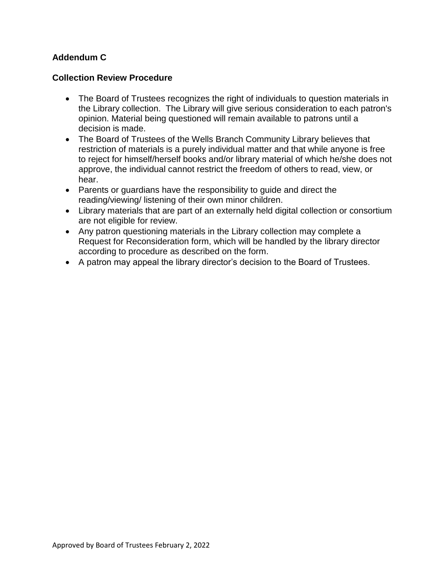### **Addendum C**

#### **Collection Review Procedure**

- The Board of Trustees recognizes the right of individuals to question materials in the Library collection. The Library will give serious consideration to each patron's opinion. Material being questioned will remain available to patrons until a decision is made.
- The Board of Trustees of the Wells Branch Community Library believes that restriction of materials is a purely individual matter and that while anyone is free to reject for himself/herself books and/or library material of which he/she does not approve, the individual cannot restrict the freedom of others to read, view, or hear.
- Parents or guardians have the responsibility to guide and direct the reading/viewing/ listening of their own minor children.
- Library materials that are part of an externally held digital collection or consortium are not eligible for review.
- Any patron questioning materials in the Library collection may complete a Request for Reconsideration form, which will be handled by the library director according to procedure as described on the form.
- A patron may appeal the library director's decision to the Board of Trustees.